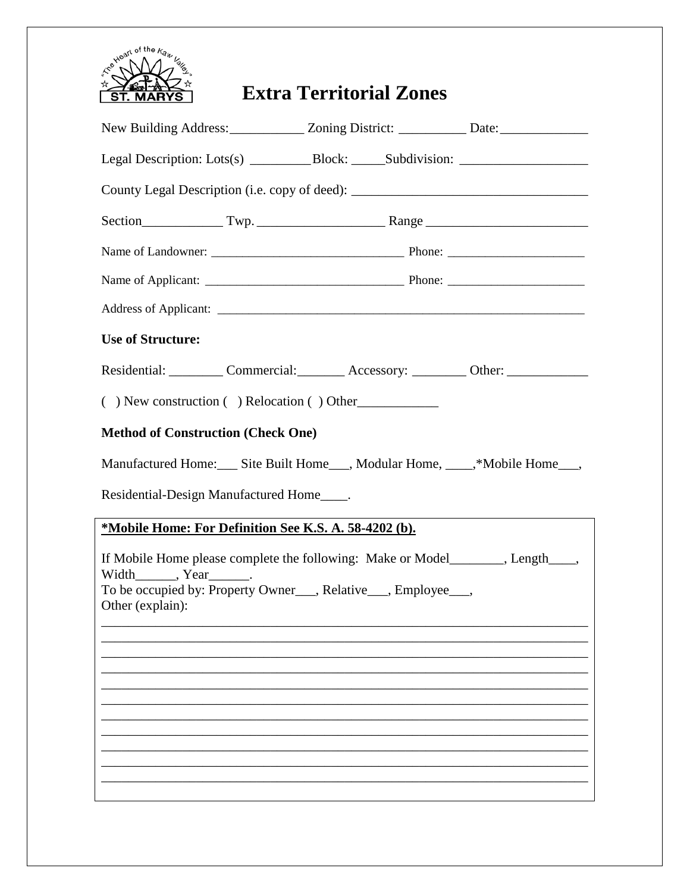

## **Extra Territorial Zones**

| New Building Address: _____________ Zoning District: ____________ Date: ____________________________                                                                                         |  |  |  |                                                                   |  |
|----------------------------------------------------------------------------------------------------------------------------------------------------------------------------------------------|--|--|--|-------------------------------------------------------------------|--|
| Legal Description: Lots(s) ____________Block: _______Subdivision: _______________                                                                                                            |  |  |  |                                                                   |  |
| County Legal Description (i.e. copy of deed): ___________________________________                                                                                                            |  |  |  |                                                                   |  |
|                                                                                                                                                                                              |  |  |  |                                                                   |  |
|                                                                                                                                                                                              |  |  |  |                                                                   |  |
|                                                                                                                                                                                              |  |  |  |                                                                   |  |
|                                                                                                                                                                                              |  |  |  |                                                                   |  |
| <b>Use of Structure:</b>                                                                                                                                                                     |  |  |  |                                                                   |  |
|                                                                                                                                                                                              |  |  |  | Residential: Commercial: Accessory: Commercial: Accessory: Chher: |  |
| $($ ) New construction $($ ) Relocation $($ ) Other                                                                                                                                          |  |  |  |                                                                   |  |
| <b>Method of Construction (Check One)</b>                                                                                                                                                    |  |  |  |                                                                   |  |
| Manufactured Home: Site Built Home Modular Home, Mobile Home Mone                                                                                                                            |  |  |  |                                                                   |  |
| Residential-Design Manufactured Home_____.                                                                                                                                                   |  |  |  |                                                                   |  |
| *Mobile Home: For Definition See K.S. A. 58-4202 (b).                                                                                                                                        |  |  |  |                                                                   |  |
| If Mobile Home please complete the following: Make or Model_______, Length____,<br>$Width$ , $Year$ .<br>To be occupied by: Property Owner___, Relative___, Employee___,<br>Other (explain): |  |  |  |                                                                   |  |
|                                                                                                                                                                                              |  |  |  |                                                                   |  |
|                                                                                                                                                                                              |  |  |  |                                                                   |  |
|                                                                                                                                                                                              |  |  |  |                                                                   |  |
|                                                                                                                                                                                              |  |  |  |                                                                   |  |
|                                                                                                                                                                                              |  |  |  |                                                                   |  |
|                                                                                                                                                                                              |  |  |  |                                                                   |  |
|                                                                                                                                                                                              |  |  |  |                                                                   |  |